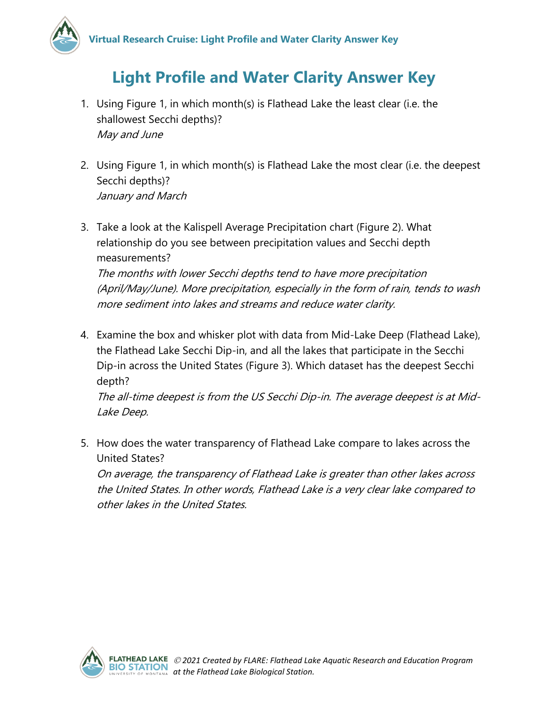

## **Light Profile and Water Clarity Answer Key**

- 1. Using Figure 1, in which month(s) is Flathead Lake the least clear (i.e. the shallowest Secchi depths)? May and June
- 2. Using Figure 1, in which month(s) is Flathead Lake the most clear (i.e. the deepest Secchi depths)? January and March
- 3. Take a look at the Kalispell Average Precipitation chart (Figure 2). What relationship do you see between precipitation values and Secchi depth measurements? The months with lower Secchi depths tend to have more precipitation (April/May/June). More precipitation, especially in the form of rain, tends to wash

more sediment into lakes and streams and reduce water clarity.

4. Examine the box and whisker plot with data from Mid-Lake Deep (Flathead Lake), the Flathead Lake Secchi Dip-in, and all the lakes that participate in the Secchi Dip-in across the United States (Figure 3). Which dataset has the deepest Secchi depth?

The all-time deepest is from the US Secchi Dip-in. The average deepest is at Mid-Lake Deep.

5. How does the water transparency of Flathead Lake compare to lakes across the United States?

On average, the transparency of Flathead Lake is greater than other lakes across the United States. In other words, Flathead Lake is a very clear lake compared to other lakes in the United States.